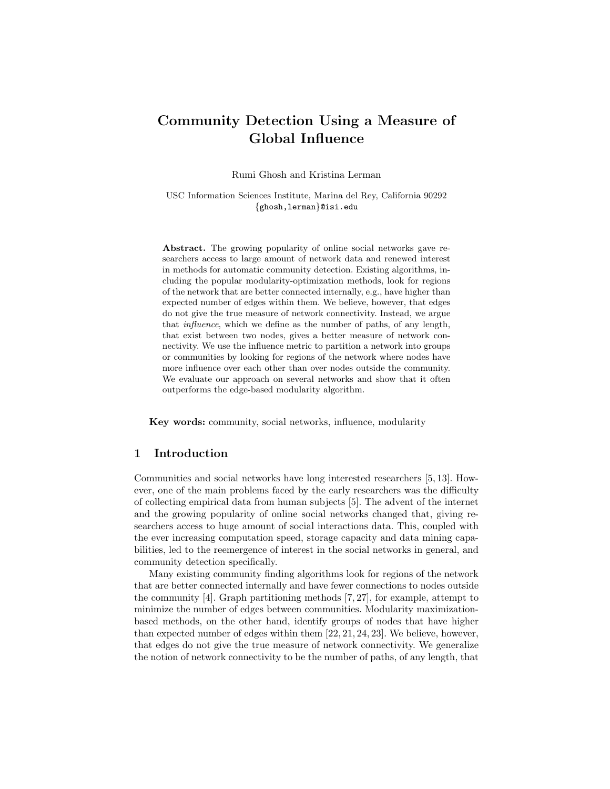# Community Detection Using a Measure of Global Influence

Rumi Ghosh and Kristina Lerman

USC Information Sciences Institute, Marina del Rey, California 90292 {ghosh,lerman}@isi.edu

Abstract. The growing popularity of online social networks gave researchers access to large amount of network data and renewed interest in methods for automatic community detection. Existing algorithms, including the popular modularity-optimization methods, look for regions of the network that are better connected internally, e.g., have higher than expected number of edges within them. We believe, however, that edges do not give the true measure of network connectivity. Instead, we argue that influence, which we define as the number of paths, of any length, that exist between two nodes, gives a better measure of network connectivity. We use the influence metric to partition a network into groups or communities by looking for regions of the network where nodes have more influence over each other than over nodes outside the community. We evaluate our approach on several networks and show that it often outperforms the edge-based modularity algorithm.

Key words: community, social networks, influence, modularity

# 1 Introduction

Communities and social networks have long interested researchers [5, 13]. However, one of the main problems faced by the early researchers was the difficulty of collecting empirical data from human subjects [5]. The advent of the internet and the growing popularity of online social networks changed that, giving researchers access to huge amount of social interactions data. This, coupled with the ever increasing computation speed, storage capacity and data mining capabilities, led to the reemergence of interest in the social networks in general, and community detection specifically.

Many existing community finding algorithms look for regions of the network that are better connected internally and have fewer connections to nodes outside the community [4]. Graph partitioning methods [7, 27], for example, attempt to minimize the number of edges between communities. Modularity maximizationbased methods, on the other hand, identify groups of nodes that have higher than expected number of edges within them [22, 21, 24, 23]. We believe, however, that edges do not give the true measure of network connectivity. We generalize the notion of network connectivity to be the number of paths, of any length, that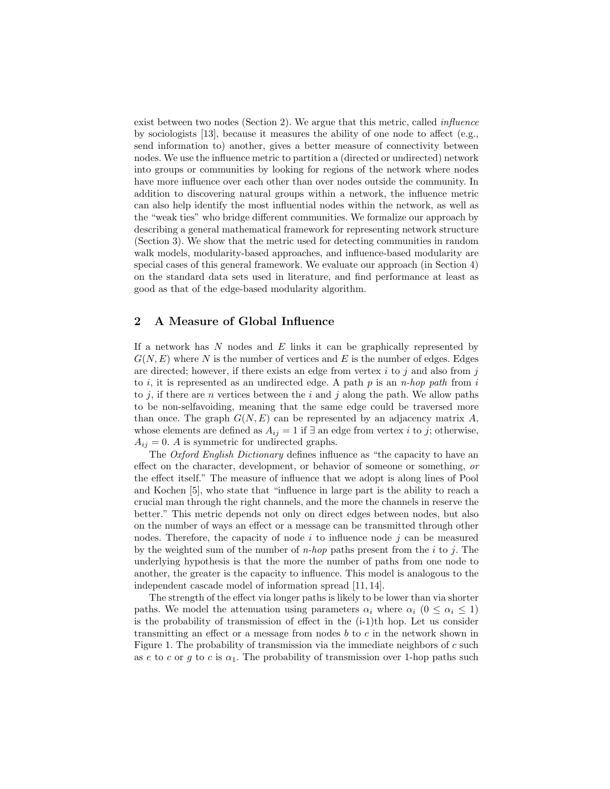exist between two nodes (Section 2). We argue that this metric, called *influence* by sociologists [13], because it measures the ability of one node to affect (e.g., send information to) another, gives a better measure of connectivity between nodes. We use the influence metric to partition a (directed or undirected) network into groups or communities by looking for regions of the network where nodes have more influence over each other than over nodes outside the community. In addition to discovering natural groups within a network, the influence metric can also help identify the most influential nodes within the network, as well as the "weak ties" who bridge different communities. We formalize our approach by describing a general mathematical framework for representing network structure (Section 3). We show that the metric used for detecting communities in random walk models, modularity-based approaches, and influence-based modularity are special cases of this general framework. We evaluate our approach (in Section 4) on the standard data sets used in literature, and find performance at least as good as that of the edge-based modularity algorithm.

# 2 A Measure of Global Influence

If a network has  $N$  nodes and  $E$  links it can be graphically represented by  $G(N, E)$  where N is the number of vertices and E is the number of edges. Edges are directed; however, if there exists an edge from vertex  $i$  to  $j$  and also from  $j$ to  $i$ , it is represented as an undirected edge. A path  $p$  is an n-hop path from  $i$ to  $j$ , if there are n vertices between the i and j along the path. We allow paths to be non-selfavoiding, meaning that the same edge could be traversed more than once. The graph  $G(N, E)$  can be represented by an adjacency matrix A, whose elements are defined as  $A_{ij} = 1$  if  $\exists$  an edge from vertex i to j; otherwise,  $A_{ij} = 0$ . A is symmetric for undirected graphs.

The *Oxford English Dictionary* defines influence as "the capacity to have an effect on the character, development, or behavior of someone or something, or the effect itself." The measure of influence that we adopt is along lines of Pool and Kochen [5], who state that "influence in large part is the ability to reach a crucial man through the right channels, and the more the channels in reserve the better." This metric depends not only on direct edges between nodes, but also on the number of ways an effect or a message can be transmitted through other nodes. Therefore, the capacity of node  $i$  to influence node  $j$  can be measured by the weighted sum of the number of  $n-hop$  paths present from the i to j. The underlying hypothesis is that the more the number of paths from one node to another, the greater is the capacity to influence. This model is analogous to the independent cascade model of information spread [11, 14].

The strength of the effect via longer paths is likely to be lower than via shorter paths. We model the attenuation using parameters  $\alpha_i$  where  $\alpha_i$  ( $0 \leq \alpha_i \leq 1$ ) is the probability of transmission of effect in the (i-1)th hop. Let us consider transmitting an effect or a message from nodes  $b$  to  $c$  in the network shown in Figure 1. The probability of transmission via the immediate neighbors of  $c$  such as e to c or q to c is  $\alpha_1$ . The probability of transmission over 1-hop paths such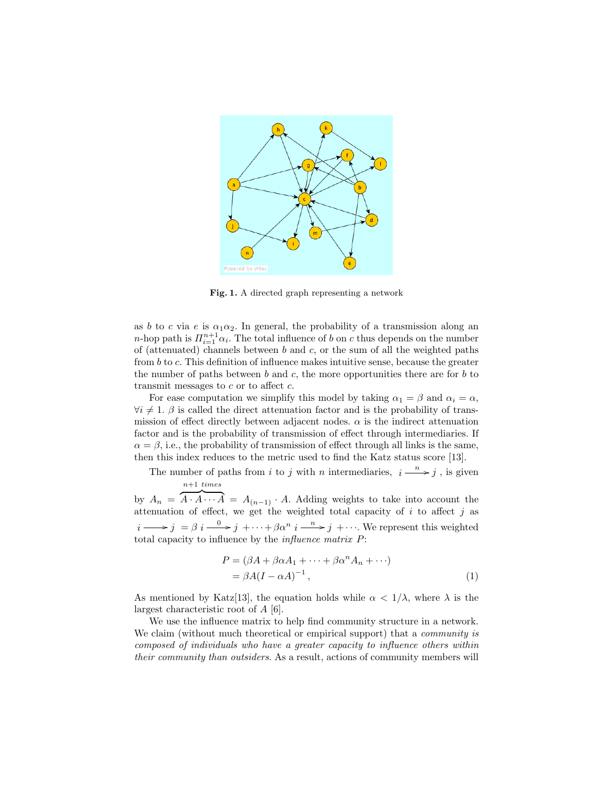

Fig. 1. A directed graph representing a network

as b to c via e is  $\alpha_1 \alpha_2$ . In general, the probability of a transmission along an *n*-hop path is  $\prod_{i=1}^{n+1} \alpha_i$ . The total influence of b on c thus depends on the number of (attenuated) channels between  $b$  and  $c$ , or the sum of all the weighted paths from b to c. This definition of influence makes intuitive sense, because the greater the number of paths between b and c, the more opportunities there are for b to transmit messages to  $c$  or to affect  $c$ .

For ease computation we simplify this model by taking  $\alpha_1 = \beta$  and  $\alpha_i = \alpha$ ,  $\forall i \neq 1$ .  $\beta$  is called the direct attenuation factor and is the probability of transmission of effect directly between adjacent nodes.  $\alpha$  is the indirect attenuation factor and is the probability of transmission of effect through intermediaries. If  $\alpha = \beta$ , i.e., the probability of transmission of effect through all links is the same, then this index reduces to the metric used to find the Katz status score [13].

The number of paths from i to j with n intermediaries,  $i \rightarrow j$ , is given n+1 times

by  $A_n = \overbrace{A \cdot A \cdots A}^{n-1} = A_{n-1} \cdot A$ . Adding weights to take into account the attenuation of effect, we get the weighted total capacity of  $i$  to affect  $j$  as  $i \longrightarrow j = \beta i \stackrel{0}{\longrightarrow} j + \cdots + \beta \alpha^n i \stackrel{n}{\longrightarrow} j + \cdots$ . We represent this weighted total capacity to influence by the influence matrix P:

$$
P = (\beta A + \beta \alpha A_1 + \dots + \beta \alpha^n A_n + \dots)
$$
  
=  $\beta A (I - \alpha A)^{-1}$ , (1)

As mentioned by Katz[13], the equation holds while  $\alpha < 1/\lambda$ , where  $\lambda$  is the largest characteristic root of A [6].

We use the influence matrix to help find community structure in a network. We claim (without much theoretical or empirical support) that a *community is* composed of individuals who have a greater capacity to influence others within their community than outsiders. As a result, actions of community members will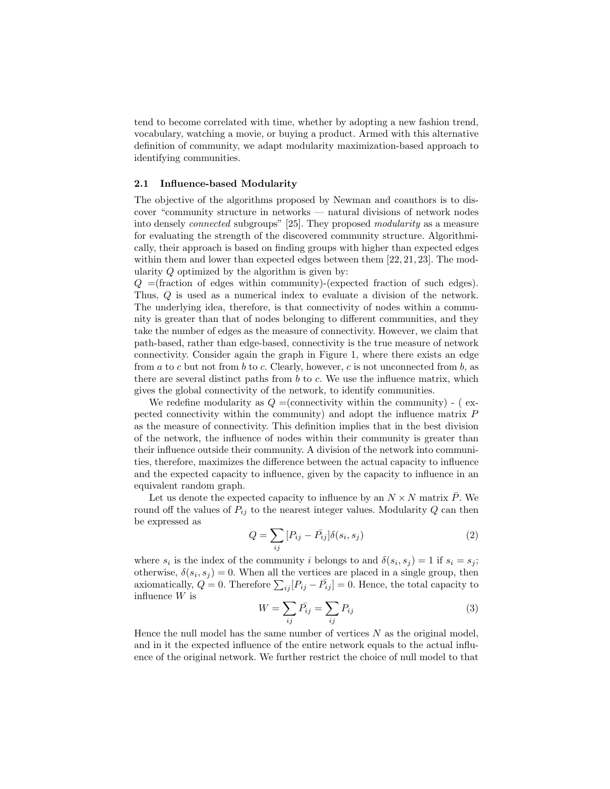tend to become correlated with time, whether by adopting a new fashion trend, vocabulary, watching a movie, or buying a product. Armed with this alternative definition of community, we adapt modularity maximization-based approach to identifying communities.

#### 2.1 Influence-based Modularity

The objective of the algorithms proposed by Newman and coauthors is to discover "community structure in networks — natural divisions of network nodes into densely connected subgroups" [25]. They proposed modularity as a measure for evaluating the strength of the discovered community structure. Algorithmically, their approach is based on finding groups with higher than expected edges within them and lower than expected edges between them [22, 21, 23]. The modularity  $Q$  optimized by the algorithm is given by:

 $Q =$ (fraction of edges within community)-(expected fraction of such edges). Thus, Q is used as a numerical index to evaluate a division of the network. The underlying idea, therefore, is that connectivity of nodes within a community is greater than that of nodes belonging to different communities, and they take the number of edges as the measure of connectivity. However, we claim that path-based, rather than edge-based, connectivity is the true measure of network connectivity. Consider again the graph in Figure 1, where there exists an edge from  $a$  to  $c$  but not from  $b$  to  $c$ . Clearly, however,  $c$  is not unconnected from  $b$ , as there are several distinct paths from  $b$  to  $c$ . We use the influence matrix, which gives the global connectivity of the network, to identify communities.

We redefine modularity as  $Q =$  (connectivity within the community) - (expected connectivity within the community) and adopt the influence matrix P as the measure of connectivity. This definition implies that in the best division of the network, the influence of nodes within their community is greater than their influence outside their community. A division of the network into communities, therefore, maximizes the difference between the actual capacity to influence and the expected capacity to influence, given by the capacity to influence in an equivalent random graph.

Let us denote the expected capacity to influence by an  $N \times N$  matrix  $\overline{P}$ . We round off the values of  $P_{ij}$  to the nearest integer values. Modularity  $Q$  can then be expressed as

$$
Q = \sum_{ij} [P_{ij} - \bar{P}_{ij}] \delta(s_i, s_j)
$$
\n(2)

where  $s_i$  is the index of the community i belongs to and  $\delta(s_i, s_j) = 1$  if  $s_i = s_j$ ; otherwise,  $\delta(s_i, s_j) = 0$ . When all the vertices are placed in a single group, then axiomatically,  $Q = 0$ . Therefore  $\sum_{ij} [P_{ij} - \bar{P}_{ij}] = 0$ . Hence, the total capacity to influence W is

$$
W = \sum_{ij} \bar{P}_{ij} = \sum_{ij} P_{ij} \tag{3}
$$

Hence the null model has the same number of vertices  $N$  as the original model, and in it the expected influence of the entire network equals to the actual influence of the original network. We further restrict the choice of null model to that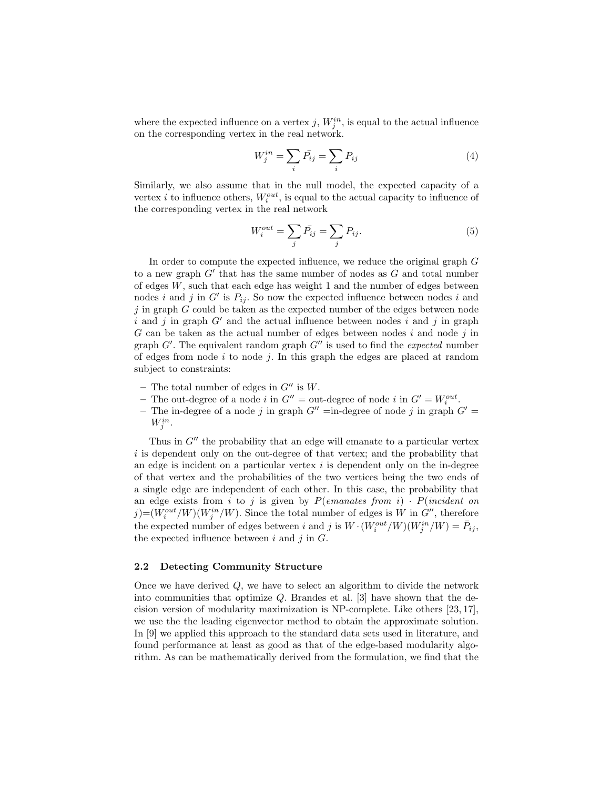where the expected influence on a vertex  $j, W_j^{in}$ , is equal to the actual influence on the corresponding vertex in the real network.

$$
W_j^{in} = \sum_i \bar{P}_{ij} = \sum_i P_{ij} \tag{4}
$$

Similarly, we also assume that in the null model, the expected capacity of a vertex *i* to influence others,  $W_i^{out}$ , is equal to the actual capacity to influence of the corresponding vertex in the real network

$$
W_i^{out} = \sum_j \bar{P}_{ij} = \sum_j P_{ij}.
$$
\n<sup>(5)</sup>

In order to compute the expected influence, we reduce the original graph G to a new graph  $G'$  that has the same number of nodes as  $G$  and total number of edges  $W$ , such that each edge has weight 1 and the number of edges between nodes i and j in  $G'$  is  $P_{ij}$ . So now the expected influence between nodes i and  $j$  in graph  $G$  could be taken as the expected number of the edges between node i and j in graph  $G'$  and the actual influence between nodes i and j in graph  $G$  can be taken as the actual number of edges between nodes  $i$  and node  $j$  in graph  $G'$ . The equivalent random graph  $G''$  is used to find the *expected* number of edges from node  $i$  to node  $j$ . In this graph the edges are placed at random subject to constraints:

- The total number of edges in  $G''$  is W.
- The out-degree of a node i in  $G'' =$  out-degree of node i in  $G' = W_i^{out}$ .
- The in-degree of a node j in graph  $G''$  =in-degree of node j in graph  $G'$  =  $W_j^{in}$ .

Thus in  $G''$  the probability that an edge will emanate to a particular vertex i is dependent only on the out-degree of that vertex; and the probability that an edge is incident on a particular vertex  $i$  is dependent only on the in-degree of that vertex and the probabilities of the two vertices being the two ends of a single edge are independent of each other. In this case, the probability that an edge exists from i to j is given by  $P($ emanates from i)  $\cdot$   $P(incident~on$  $j) = (W_i^{out}/W)(W_j^{in}/W)$ . Since the total number of edges is W in G'', therefore the expected number of edges between i and j is  $W \cdot (W_i^{out}/W)(W_j^{in}/W) = \bar{P}_{ij}$ , the expected influence between  $i$  and  $j$  in  $G$ .

#### 2.2 Detecting Community Structure

Once we have derived  $Q$ , we have to select an algorithm to divide the network into communities that optimize  $Q$ . Brandes et al. [3] have shown that the decision version of modularity maximization is NP-complete. Like others [23, 17], we use the the leading eigenvector method to obtain the approximate solution. In [9] we applied this approach to the standard data sets used in literature, and found performance at least as good as that of the edge-based modularity algorithm. As can be mathematically derived from the formulation, we find that the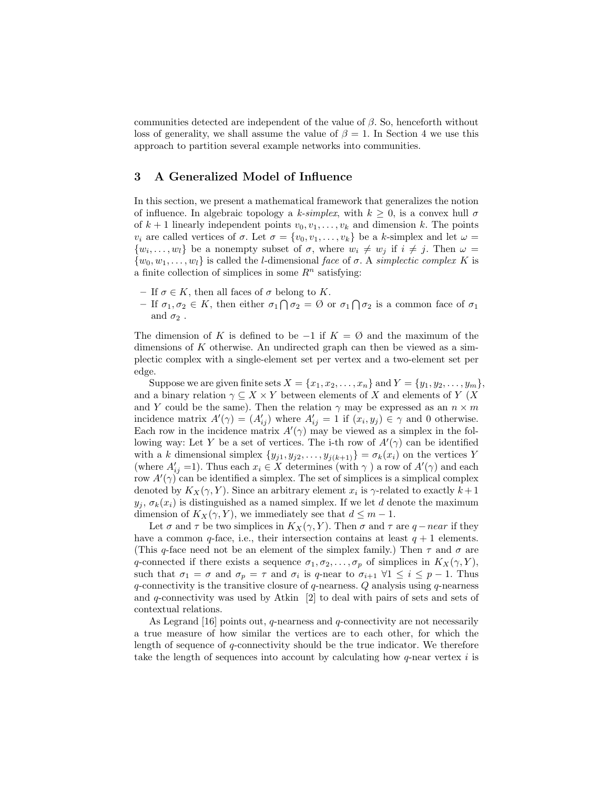communities detected are independent of the value of  $\beta$ . So, henceforth without loss of generality, we shall assume the value of  $\beta = 1$ . In Section 4 we use this approach to partition several example networks into communities.

## 3 A Generalized Model of Influence

In this section, we present a mathematical framework that generalizes the notion of influence. In algebraic topology a k-simplex, with  $k \geq 0$ , is a convex hull  $\sigma$ of  $k+1$  linearly independent points  $v_0, v_1, \ldots, v_k$  and dimension k. The points  $v_i$  are called vertices of  $\sigma$ . Let  $\sigma = \{v_0, v_1, \ldots, v_k\}$  be a k-simplex and let  $\omega =$  $\{w_i, \ldots, w_l\}$  be a nonempty subset of  $\sigma$ , where  $w_i \neq w_j$  if  $i \neq j$ . Then  $\omega =$  $\{w_0, w_1, \ldots, w_l\}$  is called the *l*-dimensional face of  $\sigma$ . A simplectic complex K is a finite collection of simplices in some  $R<sup>n</sup>$  satisfying:

- If  $\sigma \in K$ , then all faces of  $\sigma$  belong to K.
- If  $\sigma_1, \sigma_2 \in K$ , then either  $\sigma_1 \cap \sigma_2 = \emptyset$  or  $\sigma_1 \cap \sigma_2$  is a common face of  $\sigma_1$ and  $\sigma_2$ .

The dimension of K is defined to be  $-1$  if  $K = \emptyset$  and the maximum of the dimensions of  $K$  otherwise. An undirected graph can then be viewed as a simplectic complex with a single-element set per vertex and a two-element set per edge.

Suppose we are given finite sets  $X = \{x_1, x_2, \ldots, x_n\}$  and  $Y = \{y_1, y_2, \ldots, y_m\}$ , and a binary relation  $\gamma \subseteq X \times Y$  between elements of X and elements of Y (X and Y could be the same). Then the relation  $\gamma$  may be expressed as an  $n \times m$ incidence matrix  $A'(\gamma) = (A'_{ij})$  where  $A'_{ij} = 1$  if  $(x_i, y_j) \in \gamma$  and 0 otherwise. Each row in the incidence matrix  $A'(\gamma)$  may be viewed as a simplex in the following way: Let Y be a set of vertices. The i-th row of  $A'(\gamma)$  can be identified with a k dimensional simplex  $\{y_{j1}, y_{j2}, \ldots, y_{j(k+1)}\} = \sigma_k(x_i)$  on the vertices Y (where  $A'_{ij}$  =1). Thus each  $x_i \in X$  determines (with  $\gamma$ ) a row of  $A'(\gamma)$  and each row  $A'(\gamma)$  can be identified a simplex. The set of simplices is a simplical complex denoted by  $K_X(\gamma, Y)$ . Since an arbitrary element  $x_i$  is  $\gamma$ -related to exactly  $k+1$  $y_j$ ,  $\sigma_k(x_i)$  is distinguished as a named simplex. If we let d denote the maximum dimension of  $K_X(\gamma, Y)$ , we immediately see that  $d \leq m-1$ .

Let  $\sigma$  and  $\tau$  be two simplices in  $K_X(\gamma, Y)$ . Then  $\sigma$  and  $\tau$  are  $q - near$  if they have a common q-face, i.e., their intersection contains at least  $q + 1$  elements. (This q-face need not be an element of the simplex family.) Then  $\tau$  and  $\sigma$  are q-connected if there exists a sequence  $\sigma_1, \sigma_2, \ldots, \sigma_p$  of simplices in  $K_X(\gamma, Y)$ , such that  $\sigma_1 = \sigma$  and  $\sigma_p = \tau$  and  $\sigma_i$  is q-near to  $\sigma_{i+1}$   $\forall 1 \leq i \leq p-1$ . Thus q-connectivity is the transitive closure of q-nearness.  $Q$  analysis using q-nearness and q-connectivity was used by Atkin [2] to deal with pairs of sets and sets of contextual relations.

As Legrand  $[16]$  points out, q-nearness and q-connectivity are not necessarily a true measure of how similar the vertices are to each other, for which the length of sequence of q-connectivity should be the true indicator. We therefore take the length of sequences into account by calculating how  $q$ -near vertex i is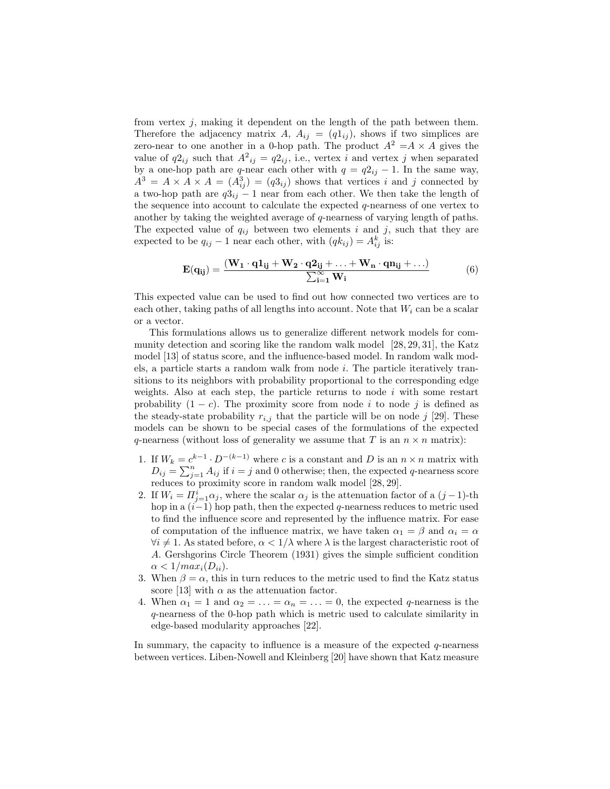from vertex  $j$ , making it dependent on the length of the path between them. Therefore the adjacency matrix A,  $A_{ij} = (q1_{ij})$ , shows if two simplices are zero-near to one another in a 0-hop path. The product  $A^2 = A \times A$  gives the value of  $q2_{ij}$  such that  $A^2_{ij} = q2_{ij}$ , i.e., vertex i and vertex j when separated by a one-hop path are q-near each other with  $q = q2_{ij} - 1$ . In the same way,  $A^3 = A \times A \times A = (A_{ij}^3) = (q3_{ij})$  shows that vertices i and j connected by a two-hop path are  $q3_{ij} - 1$  near from each other. We then take the length of the sequence into account to calculate the expected  $q$ -nearness of one vertex to another by taking the weighted average of q-nearness of varying length of paths. The expected value of  $q_{ij}$  between two elements i and j, such that they are expected to be  $q_{ij} - 1$  near each other, with  $(qk_{ij}) = A_{ij}^k$  is:

$$
\mathbf{E}(\mathbf{q_{ij}}) = \frac{(\mathbf{W_1} \cdot \mathbf{q1_{ij}} + \mathbf{W_2} \cdot \mathbf{q2_{ij}} + \ldots + \mathbf{W_n} \cdot \mathbf{qn_{ij}} + \ldots)}{\sum_{i=1}^{\infty} \mathbf{W_i}}
$$
(6)

This expected value can be used to find out how connected two vertices are to each other, taking paths of all lengths into account. Note that  $W_i$  can be a scalar or a vector.

This formulations allows us to generalize different network models for community detection and scoring like the random walk model [28, 29, 31], the Katz model [13] of status score, and the influence-based model. In random walk models, a particle starts a random walk from node  $i$ . The particle iteratively transitions to its neighbors with probability proportional to the corresponding edge weights. Also at each step, the particle returns to node  $i$  with some restart probability  $(1 - c)$ . The proximity score from node *i* to node *j* is defined as the steady-state probability  $r_{i,j}$  that the particle will be on node j [29]. These models can be shown to be special cases of the formulations of the expected q-nearness (without loss of generality we assume that T is an  $n \times n$  matrix):

- 1. If  $W_k = c^{k-1} \cdot D^{-(k-1)}$  where c is a constant and D is an  $n \times n$  matrix with  $D_{ij} = \sum_{j=1}^{n} A_{ij}$  if  $i = j$  and 0 otherwise; then, the expected q-nearness score reduces to proximity score in random walk model [28, 29].
- 2. If  $W_i = \prod_{j=1}^i \alpha_j$ , where the scalar  $\alpha_j$  is the attenuation factor of a  $(j-1)$ -th hop in a  $(i-1)$  hop path, then the expected q-nearness reduces to metric used to find the influence score and represented by the influence matrix. For ease of computation of the influence matrix, we have taken  $\alpha_1 = \beta$  and  $\alpha_i = \alpha$  $\forall i \neq 1$ . As stated before,  $\alpha < 1/\lambda$  where  $\lambda$  is the largest characteristic root of A. Gershgorins Circle Theorem (1931) gives the simple sufficient condition  $\alpha < 1/max_i(D_{ii}).$
- 3. When  $\beta = \alpha$ , this in turn reduces to the metric used to find the Katz status score [13] with  $\alpha$  as the attenuation factor.
- 4. When  $\alpha_1 = 1$  and  $\alpha_2 = \ldots = \alpha_n = \ldots = 0$ , the expected q-nearness is the q-nearness of the 0-hop path which is metric used to calculate similarity in edge-based modularity approaches [22].

In summary, the capacity to influence is a measure of the expected  $q$ -nearness between vertices. Liben-Nowell and Kleinberg [20] have shown that Katz measure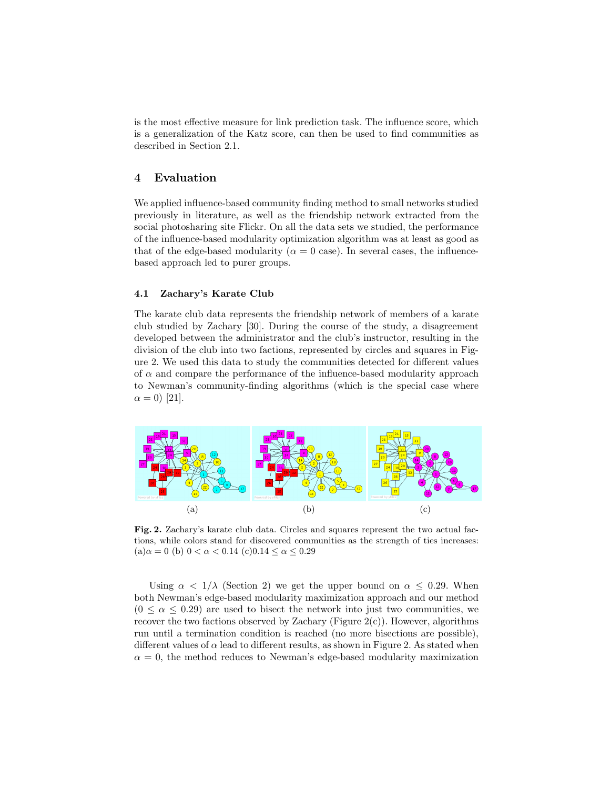is the most effective measure for link prediction task. The influence score, which is a generalization of the Katz score, can then be used to find communities as described in Section 2.1.

## 4 Evaluation

We applied influence-based community finding method to small networks studied previously in literature, as well as the friendship network extracted from the social photosharing site Flickr. On all the data sets we studied, the performance of the influence-based modularity optimization algorithm was at least as good as that of the edge-based modularity ( $\alpha = 0$  case). In several cases, the influencebased approach led to purer groups.

#### 4.1 Zachary's Karate Club

The karate club data represents the friendship network of members of a karate club studied by Zachary [30]. During the course of the study, a disagreement developed between the administrator and the club's instructor, resulting in the division of the club into two factions, represented by circles and squares in Figure 2. We used this data to study the communities detected for different values of  $\alpha$  and compare the performance of the influence-based modularity approach to Newman's community-finding algorithms (which is the special case where  $\alpha = 0$ ) [21].



Fig. 2. Zachary's karate club data. Circles and squares represent the two actual factions, while colors stand for discovered communities as the strength of ties increases: (a) $\alpha = 0$  (b)  $0 < \alpha < 0.14$  (c) $0.14 \leq \alpha \leq 0.29$ 

Using  $\alpha < 1/\lambda$  (Section 2) we get the upper bound on  $\alpha \leq 0.29$ . When both Newman's edge-based modularity maximization approach and our method  $(0 \le \alpha \le 0.29)$  are used to bisect the network into just two communities, we recover the two factions observed by Zachary (Figure  $2(c)$ ). However, algorithms run until a termination condition is reached (no more bisections are possible), different values of  $\alpha$  lead to different results, as shown in Figure 2. As stated when  $\alpha = 0$ , the method reduces to Newman's edge-based modularity maximization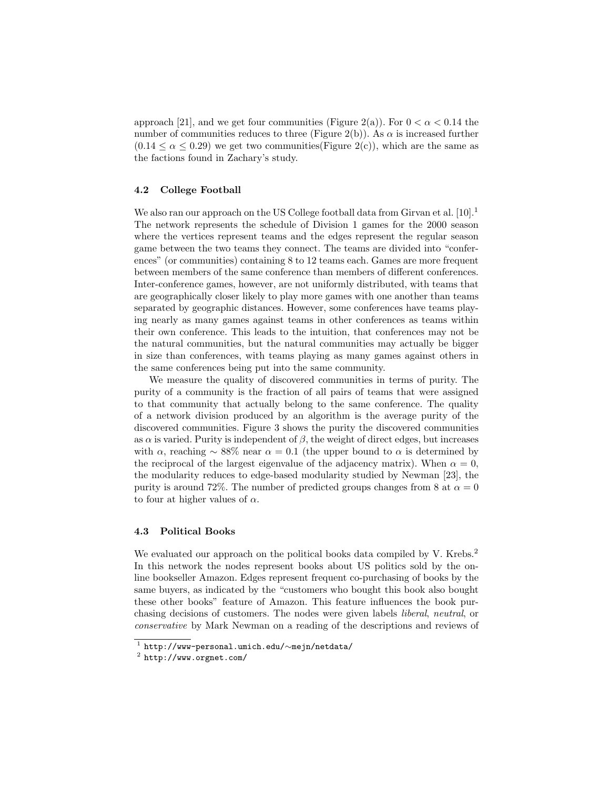approach [21], and we get four communities (Figure 2(a)). For  $0 < \alpha < 0.14$  the number of communities reduces to three (Figure 2(b)). As  $\alpha$  is increased further  $(0.14 \le \alpha \le 0.29)$  we get two communities(Figure 2(c)), which are the same as the factions found in Zachary's study.

### 4.2 College Football

We also ran our approach on the US College football data from Girvan et al. [10].<sup>1</sup> The network represents the schedule of Division 1 games for the 2000 season where the vertices represent teams and the edges represent the regular season game between the two teams they connect. The teams are divided into "conferences" (or communities) containing 8 to 12 teams each. Games are more frequent between members of the same conference than members of different conferences. Inter-conference games, however, are not uniformly distributed, with teams that are geographically closer likely to play more games with one another than teams separated by geographic distances. However, some conferences have teams playing nearly as many games against teams in other conferences as teams within their own conference. This leads to the intuition, that conferences may not be the natural communities, but the natural communities may actually be bigger in size than conferences, with teams playing as many games against others in the same conferences being put into the same community.

We measure the quality of discovered communities in terms of purity. The purity of a community is the fraction of all pairs of teams that were assigned to that community that actually belong to the same conference. The quality of a network division produced by an algorithm is the average purity of the discovered communities. Figure 3 shows the purity the discovered communities as  $\alpha$  is varied. Purity is independent of  $\beta$ , the weight of direct edges, but increases with  $\alpha$ , reaching ~ 88% near  $\alpha = 0.1$  (the upper bound to  $\alpha$  is determined by the reciprocal of the largest eigenvalue of the adjacency matrix). When  $\alpha = 0$ , the modularity reduces to edge-based modularity studied by Newman [23], the purity is around 72%. The number of predicted groups changes from 8 at  $\alpha = 0$ to four at higher values of  $\alpha$ .

#### 4.3 Political Books

We evaluated our approach on the political books data compiled by V. Krebs.<sup>2</sup> In this network the nodes represent books about US politics sold by the online bookseller Amazon. Edges represent frequent co-purchasing of books by the same buyers, as indicated by the "customers who bought this book also bought these other books" feature of Amazon. This feature influences the book purchasing decisions of customers. The nodes were given labels liberal, neutral, or conservative by Mark Newman on a reading of the descriptions and reviews of

<sup>1</sup> http://www-personal.umich.edu/∼mejn/netdata/

 $^{2}$  http://www.orgnet.com/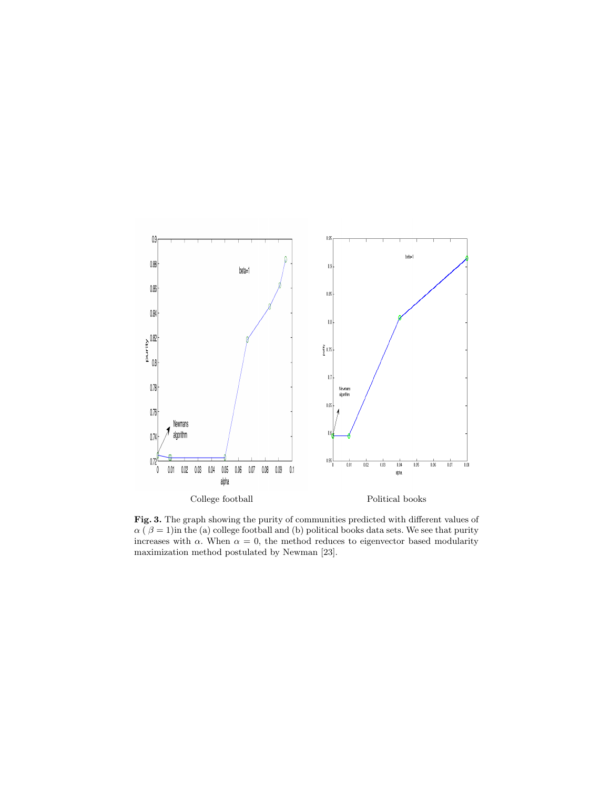

Fig. 3. The graph showing the purity of communities predicted with different values of  $\alpha$  ( $\beta = 1$ )in the (a) college football and (b) political books data sets. We see that purity increases with  $\alpha$ . When  $\alpha = 0$ , the method reduces to eigenvector based modularity maximization method postulated by Newman [23].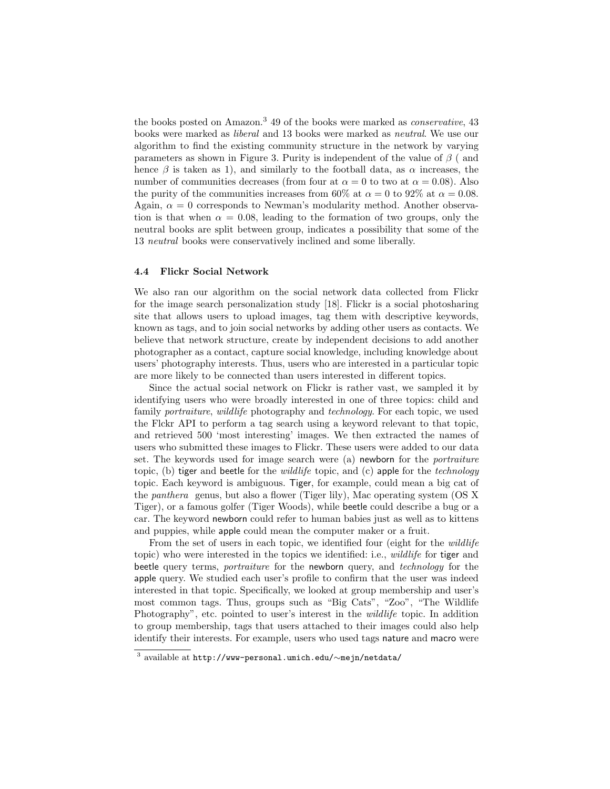the books posted on Amazon.<sup>3</sup> 49 of the books were marked as *conservative*, 43 books were marked as liberal and 13 books were marked as neutral. We use our algorithm to find the existing community structure in the network by varying parameters as shown in Figure 3. Purity is independent of the value of  $\beta$  ( and hence  $\beta$  is taken as 1), and similarly to the football data, as  $\alpha$  increases, the number of communities decreases (from four at  $\alpha = 0$  to two at  $\alpha = 0.08$ ). Also the purity of the communities increases from 60% at  $\alpha = 0$  to 92% at  $\alpha = 0.08$ . Again,  $\alpha = 0$  corresponds to Newman's modularity method. Another observation is that when  $\alpha = 0.08$ , leading to the formation of two groups, only the neutral books are split between group, indicates a possibility that some of the 13 neutral books were conservatively inclined and some liberally.

#### 4.4 Flickr Social Network

We also ran our algorithm on the social network data collected from Flickr for the image search personalization study [18]. Flickr is a social photosharing site that allows users to upload images, tag them with descriptive keywords, known as tags, and to join social networks by adding other users as contacts. We believe that network structure, create by independent decisions to add another photographer as a contact, capture social knowledge, including knowledge about users' photography interests. Thus, users who are interested in a particular topic are more likely to be connected than users interested in different topics.

Since the actual social network on Flickr is rather vast, we sampled it by identifying users who were broadly interested in one of three topics: child and family *portraiture*, *wildlife* photography and *technology*. For each topic, we used the Flckr API to perform a tag search using a keyword relevant to that topic, and retrieved 500 'most interesting' images. We then extracted the names of users who submitted these images to Flickr. These users were added to our data set. The keywords used for image search were (a) newborn for the portraiture topic, (b) tiger and beetle for the *wildlife* topic, and (c) apple for the *technology* topic. Each keyword is ambiguous. Tiger, for example, could mean a big cat of the panthera genus, but also a flower (Tiger lily), Mac operating system (OS X Tiger), or a famous golfer (Tiger Woods), while beetle could describe a bug or a car. The keyword newborn could refer to human babies just as well as to kittens and puppies, while apple could mean the computer maker or a fruit.

From the set of users in each topic, we identified four (eight for the *wildlife* topic) who were interested in the topics we identified: i.e., wildlife for tiger and beetle query terms, portraiture for the newborn query, and technology for the apple query. We studied each user's profile to confirm that the user was indeed interested in that topic. Specifically, we looked at group membership and user's most common tags. Thus, groups such as "Big Cats", "Zoo", "The Wildlife Photography", etc. pointed to user's interest in the *wildlife* topic. In addition to group membership, tags that users attached to their images could also help identify their interests. For example, users who used tags nature and macro were

 $^3$  available at <code>http://www-personal.umich.edu/ $\sim$ mejn/netdata/</code>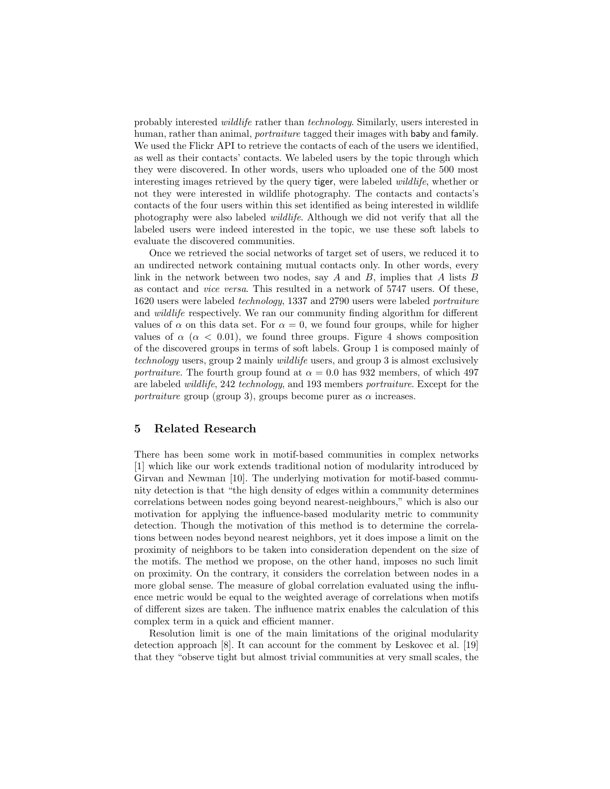probably interested wildlife rather than technology. Similarly, users interested in human, rather than animal, *portraiture* tagged their images with **baby** and **family**. We used the Flickr API to retrieve the contacts of each of the users we identified, as well as their contacts' contacts. We labeled users by the topic through which they were discovered. In other words, users who uploaded one of the 500 most interesting images retrieved by the query tiger, were labeled wildlife, whether or not they were interested in wildlife photography. The contacts and contacts's contacts of the four users within this set identified as being interested in wildlife photography were also labeled wildlife. Although we did not verify that all the labeled users were indeed interested in the topic, we use these soft labels to evaluate the discovered communities.

Once we retrieved the social networks of target set of users, we reduced it to an undirected network containing mutual contacts only. In other words, every link in the network between two nodes, say  $A$  and  $B$ , implies that  $A$  lists  $B$ as contact and vice versa. This resulted in a network of 5747 users. Of these, 1620 users were labeled technology, 1337 and 2790 users were labeled portraiture and wildlife respectively. We ran our community finding algorithm for different values of  $\alpha$  on this data set. For  $\alpha = 0$ , we found four groups, while for higher values of  $\alpha$  ( $\alpha$  < 0.01), we found three groups. Figure 4 shows composition of the discovered groups in terms of soft labels. Group 1 is composed mainly of technology users, group 2 mainly wildlife users, and group 3 is almost exclusively portraiture. The fourth group found at  $\alpha = 0.0$  has 932 members, of which 497 are labeled wildlife, 242 technology, and 193 members portraiture. Except for the *portraiture* group (group 3), groups become purer as  $\alpha$  increases.

## 5 Related Research

There has been some work in motif-based communities in complex networks [1] which like our work extends traditional notion of modularity introduced by Girvan and Newman [10]. The underlying motivation for motif-based community detection is that "the high density of edges within a community determines correlations between nodes going beyond nearest-neighbours," which is also our motivation for applying the influence-based modularity metric to community detection. Though the motivation of this method is to determine the correlations between nodes beyond nearest neighbors, yet it does impose a limit on the proximity of neighbors to be taken into consideration dependent on the size of the motifs. The method we propose, on the other hand, imposes no such limit on proximity. On the contrary, it considers the correlation between nodes in a more global sense. The measure of global correlation evaluated using the influence metric would be equal to the weighted average of correlations when motifs of different sizes are taken. The influence matrix enables the calculation of this complex term in a quick and efficient manner.

Resolution limit is one of the main limitations of the original modularity detection approach [8]. It can account for the comment by Leskovec et al. [19] that they "observe tight but almost trivial communities at very small scales, the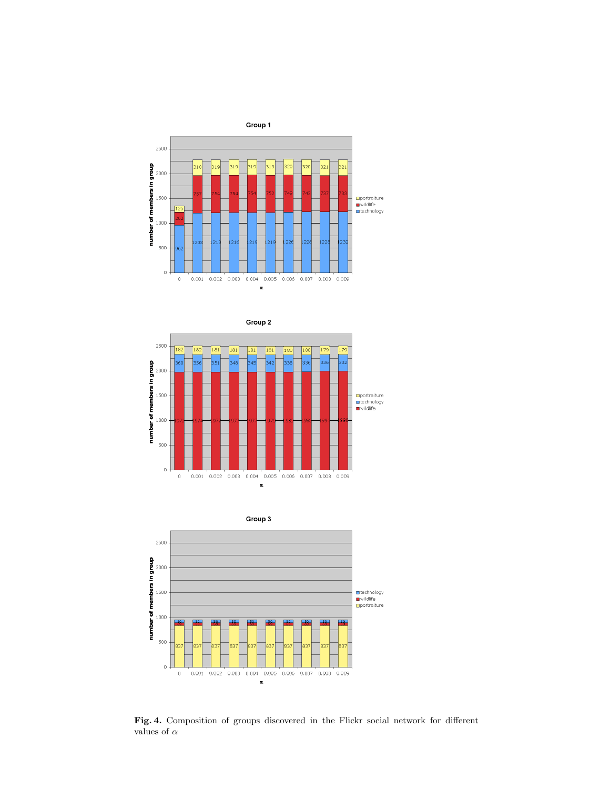





Fig. 4. Composition of groups discovered in the Flickr social network for different values of  $\alpha$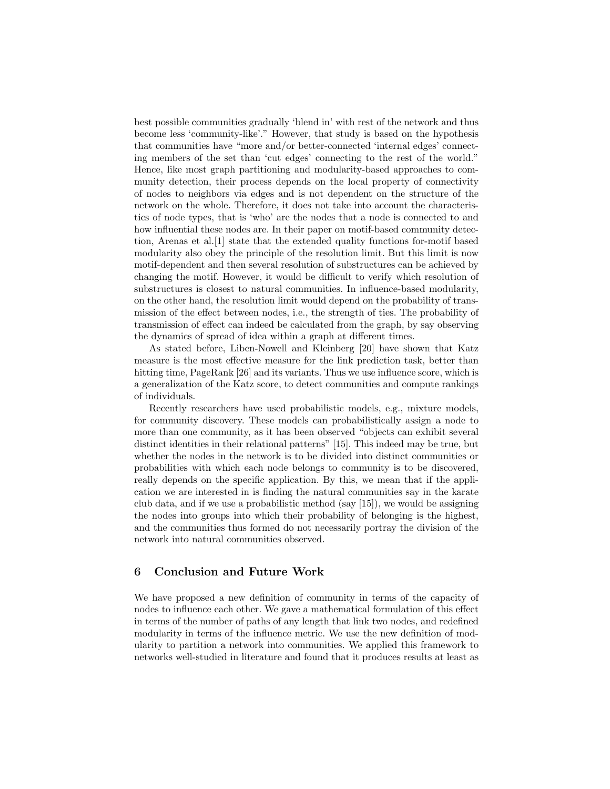best possible communities gradually 'blend in' with rest of the network and thus become less 'community-like'." However, that study is based on the hypothesis that communities have "more and/or better-connected 'internal edges' connecting members of the set than 'cut edges' connecting to the rest of the world." Hence, like most graph partitioning and modularity-based approaches to community detection, their process depends on the local property of connectivity of nodes to neighbors via edges and is not dependent on the structure of the network on the whole. Therefore, it does not take into account the characteristics of node types, that is 'who' are the nodes that a node is connected to and how influential these nodes are. In their paper on motif-based community detection, Arenas et al.[1] state that the extended quality functions for-motif based modularity also obey the principle of the resolution limit. But this limit is now motif-dependent and then several resolution of substructures can be achieved by changing the motif. However, it would be difficult to verify which resolution of substructures is closest to natural communities. In influence-based modularity, on the other hand, the resolution limit would depend on the probability of transmission of the effect between nodes, i.e., the strength of ties. The probability of transmission of effect can indeed be calculated from the graph, by say observing the dynamics of spread of idea within a graph at different times.

As stated before, Liben-Nowell and Kleinberg [20] have shown that Katz measure is the most effective measure for the link prediction task, better than hitting time, PageRank [26] and its variants. Thus we use influence score, which is a generalization of the Katz score, to detect communities and compute rankings of individuals.

Recently researchers have used probabilistic models, e.g., mixture models, for community discovery. These models can probabilistically assign a node to more than one community, as it has been observed "objects can exhibit several distinct identities in their relational patterns" [15]. This indeed may be true, but whether the nodes in the network is to be divided into distinct communities or probabilities with which each node belongs to community is to be discovered, really depends on the specific application. By this, we mean that if the application we are interested in is finding the natural communities say in the karate club data, and if we use a probabilistic method (say  $[15]$ ), we would be assigning the nodes into groups into which their probability of belonging is the highest, and the communities thus formed do not necessarily portray the division of the network into natural communities observed.

# 6 Conclusion and Future Work

We have proposed a new definition of community in terms of the capacity of nodes to influence each other. We gave a mathematical formulation of this effect in terms of the number of paths of any length that link two nodes, and redefined modularity in terms of the influence metric. We use the new definition of modularity to partition a network into communities. We applied this framework to networks well-studied in literature and found that it produces results at least as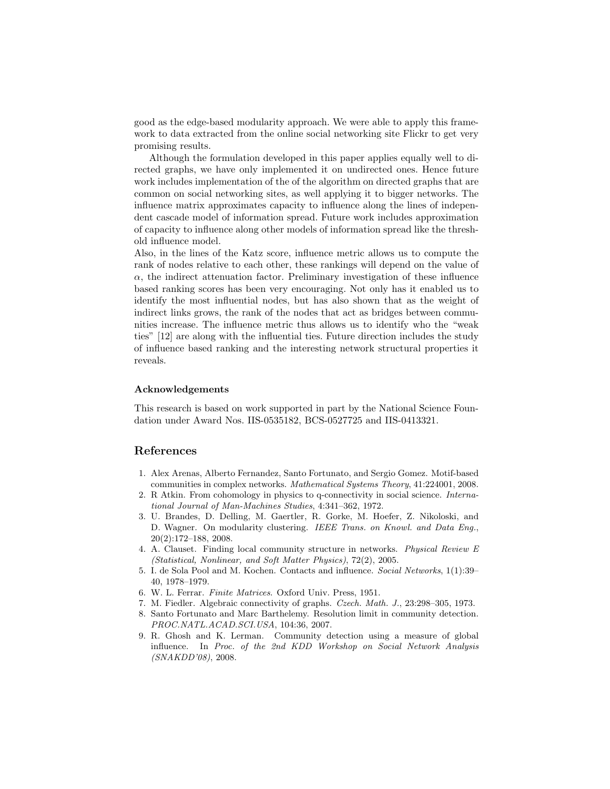good as the edge-based modularity approach. We were able to apply this framework to data extracted from the online social networking site Flickr to get very promising results.

Although the formulation developed in this paper applies equally well to directed graphs, we have only implemented it on undirected ones. Hence future work includes implementation of the of the algorithm on directed graphs that are common on social networking sites, as well applying it to bigger networks. The influence matrix approximates capacity to influence along the lines of independent cascade model of information spread. Future work includes approximation of capacity to influence along other models of information spread like the threshold influence model.

Also, in the lines of the Katz score, influence metric allows us to compute the rank of nodes relative to each other, these rankings will depend on the value of  $\alpha$ , the indirect attenuation factor. Preliminary investigation of these influence based ranking scores has been very encouraging. Not only has it enabled us to identify the most influential nodes, but has also shown that as the weight of indirect links grows, the rank of the nodes that act as bridges between communities increase. The influence metric thus allows us to identify who the "weak ties" [12] are along with the influential ties. Future direction includes the study of influence based ranking and the interesting network structural properties it reveals.

#### Acknowledgements

This research is based on work supported in part by the National Science Foundation under Award Nos. IIS-0535182, BCS-0527725 and IIS-0413321.

# References

- 1. Alex Arenas, Alberto Fernandez, Santo Fortunato, and Sergio Gomez. Motif-based communities in complex networks. Mathematical Systems Theory, 41:224001, 2008.
- 2. R Atkin. From cohomology in physics to q-connectivity in social science. International Journal of Man-Machines Studies, 4:341–362, 1972.
- 3. U. Brandes, D. Delling, M. Gaertler, R. Gorke, M. Hoefer, Z. Nikoloski, and D. Wagner. On modularity clustering. IEEE Trans. on Knowl. and Data Eng., 20(2):172–188, 2008.
- 4. A. Clauset. Finding local community structure in networks. Physical Review E (Statistical, Nonlinear, and Soft Matter Physics), 72(2), 2005.
- 5. I. de Sola Pool and M. Kochen. Contacts and influence. Social Networks, 1(1):39– 40, 1978–1979.
- 6. W. L. Ferrar. Finite Matrices. Oxford Univ. Press, 1951.
- 7. M. Fiedler. Algebraic connectivity of graphs. Czech. Math. J., 23:298–305, 1973.
- 8. Santo Fortunato and Marc Barthelemy. Resolution limit in community detection. PROC.NATL.ACAD.SCI.USA, 104:36, 2007.
- 9. R. Ghosh and K. Lerman. Community detection using a measure of global influence. In Proc. of the 2nd KDD Workshop on Social Network Analysis (SNAKDD'08), 2008.